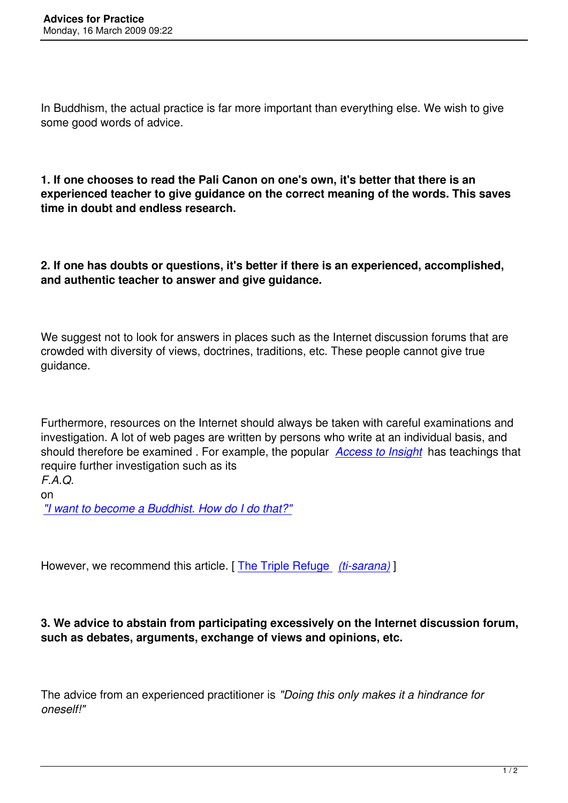In Buddhism, the actual practice is far more important than everything else. We wish to give some good words of advice.

**1. If one chooses to read the Pali Canon on one's own, it's better that there is an experienced teacher to give guidance on the correct meaning of the words. This saves time in doubt and endless research.**

**2. If one has doubts or questions, it's better if there is an experienced, accomplished, and authentic teacher to answer and give guidance.** 

We suggest not to look for answers in places such as the Internet discussion forums that are crowded with diversity of views, doctrines, traditions, etc. These people cannot give true guidance.

Furthermore, resources on the Internet should always be taken with careful examinations and investigation. A lot of web pages are written by persons who write at an individual basis, and should therefore be examined . For example, the popular *Access to Insight* has teachings that require further investigation such as its *F.A.Q.*

on *"I want to become a Buddhist. How do I do that?"*

[However, we recommend this article. \[](http://www.accesstoinsight.org/bfaq.html#convert) The Triple Refuge *(ti-sarana)* ]

## **3. We advice to abstain from partici[pating excessively](http://www.webcom.com/imcuk/uchittin/baswl/BASWL07.html) [on the Inte](http://www.webcom.com/imcuk/uchittin/baswl/BASWL07.html)rnet discussion forum, such as debates, arguments, exchange of views and opinions, etc.**

The advice from an experienced practitioner is *"Doing this only makes it a hindrance for oneself!"*